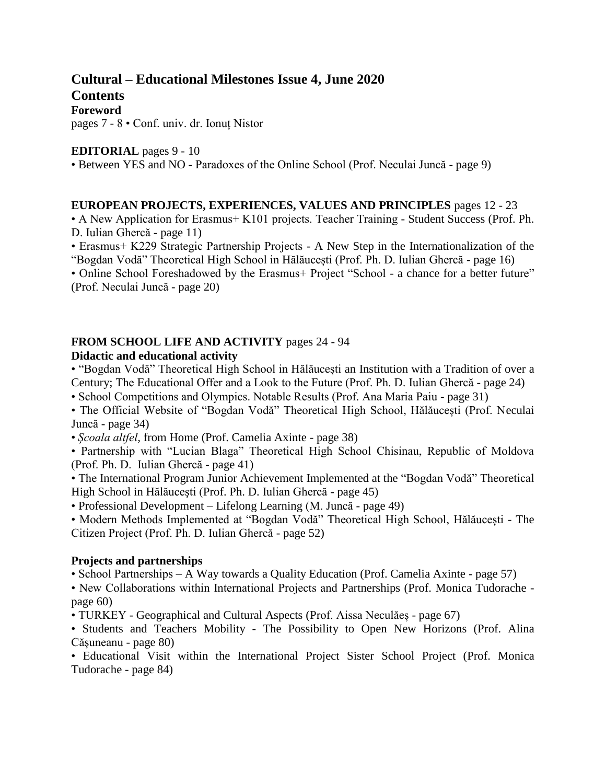# **Cultural – Educational Milestones Issue 4, June 2020**

**Contents Foreword**

pages 7 - 8 • Conf. univ. dr. Ionuț Nistor

#### **EDITORIAL** pages 9 - 10

• Between YES and NO - Paradoxes of the Online School (Prof. Neculai Juncă - page 9)

#### **EUROPEAN PROJECTS, EXPERIENCES, VALUES AND PRINCIPLES** pages 12 - 23

• A New Application for Erasmus+ K101 projects. Teacher Training - Student Success (Prof. Ph. D. Iulian Ghercă - page 11)

• Erasmus+ K229 Strategic Partnership Projects - A New Step in the Internationalization of the "Bogdan Vodă" Theoretical High School in Hălăucești (Prof. Ph. D. Iulian Ghercă - page 16)

• Online School Foreshadowed by the Erasmus+ Project "School - a chance for a better future" (Prof. Neculai Juncă - page 20)

## **FROM SCHOOL LIFE AND ACTIVITY** pages 24 - 94

#### **Didactic and educational activity**

• "Bogdan Vodă" Theoretical High School in Hălăucești an Institution with a Tradition of over a Century; The Educational Offer and a Look to the Future (Prof. Ph. D. Iulian Ghercă - page 24)

• School Competitions and Olympics. Notable Results (Prof. Ana Maria Paiu - page 31)

• The Official Website of "Bogdan Vodă" Theoretical High School, Hălăucești (Prof. Neculai Juncă - page 34)

• *Școala altfel,* from Home (Prof. Camelia Axinte - page 38)

• Partnership with "Lucian Blaga" Theoretical High School Chisinau, Republic of Moldova (Prof. Ph. D. Iulian Ghercă - page 41)

• The International Program Junior Achievement Implemented at the "Bogdan Vodă" Theoretical High School in Hălăuceşti (Prof. Ph. D. Iulian Ghercă - page 45)

• Professional Development – Lifelong Learning (M. Juncă - page 49)

• Modern Methods Implemented at "Bogdan Vodă" Theoretical High School, Hălăucești - The Citizen Project (Prof. Ph. D. Iulian Ghercă - page 52)

#### **Projects and partnerships**

• School Partnerships – A Way towards a Quality Education (Prof. Camelia Axinte - page 57)

• New Collaborations within International Projects and Partnerships (Prof. Monica Tudorache page 60)

• TURKEY - Geographical and Cultural Aspects (Prof. Aissa Neculăeș - page 67)

• Students and Teachers Mobility - The Possibility to Open New Horizons (Prof. Alina Căşuneanu - page 80)

• Educational Visit within the International Project Sister School Project (Prof. Monica Tudorache - page 84)